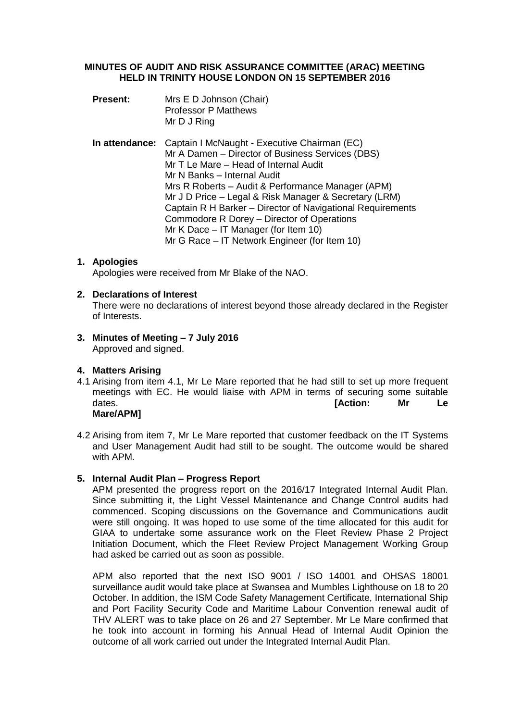### **MINUTES OF AUDIT AND RISK ASSURANCE COMMITTEE (ARAC) MEETING HELD IN TRINITY HOUSE LONDON ON 15 SEPTEMBER 2016**

- **Present:** Mrs E D Johnson (Chair) Professor P Matthews Mr D J Ring
- **In attendance:** Captain I McNaught Executive Chairman (EC) Mr A Damen – Director of Business Services (DBS) Mr T Le Mare – Head of Internal Audit Mr N Banks – Internal Audit Mrs R Roberts – Audit & Performance Manager (APM) Mr J D Price – Legal & Risk Manager & Secretary (LRM) Captain R H Barker – Director of Navigational Requirements Commodore R Dorey – Director of Operations Mr K Dace – IT Manager (for Item 10) Mr G Race – IT Network Engineer (for Item 10)

# **1. Apologies**

Apologies were received from Mr Blake of the NAO.

# **2. Declarations of Interest**

There were no declarations of interest beyond those already declared in the Register of Interests.

**3. Minutes of Meeting – 7 July 2016** Approved and signed.

# **4. Matters Arising**

- 4.1 Arising from item 4.1, Mr Le Mare reported that he had still to set up more frequent meetings with EC. He would liaise with APM in terms of securing some suitable dates. **[Action: Mr Le Mare/APM]**
- 4.2 Arising from item 7, Mr Le Mare reported that customer feedback on the IT Systems and User Management Audit had still to be sought. The outcome would be shared with APM.

### **5. Internal Audit Plan – Progress Report**

APM presented the progress report on the 2016/17 Integrated Internal Audit Plan. Since submitting it, the Light Vessel Maintenance and Change Control audits had commenced. Scoping discussions on the Governance and Communications audit were still ongoing. It was hoped to use some of the time allocated for this audit for GIAA to undertake some assurance work on the Fleet Review Phase 2 Project Initiation Document, which the Fleet Review Project Management Working Group had asked be carried out as soon as possible.

APM also reported that the next ISO 9001 / ISO 14001 and OHSAS 18001 surveillance audit would take place at Swansea and Mumbles Lighthouse on 18 to 20 October. In addition, the ISM Code Safety Management Certificate, International Ship and Port Facility Security Code and Maritime Labour Convention renewal audit of THV ALERT was to take place on 26 and 27 September. Mr Le Mare confirmed that he took into account in forming his Annual Head of Internal Audit Opinion the outcome of all work carried out under the Integrated Internal Audit Plan.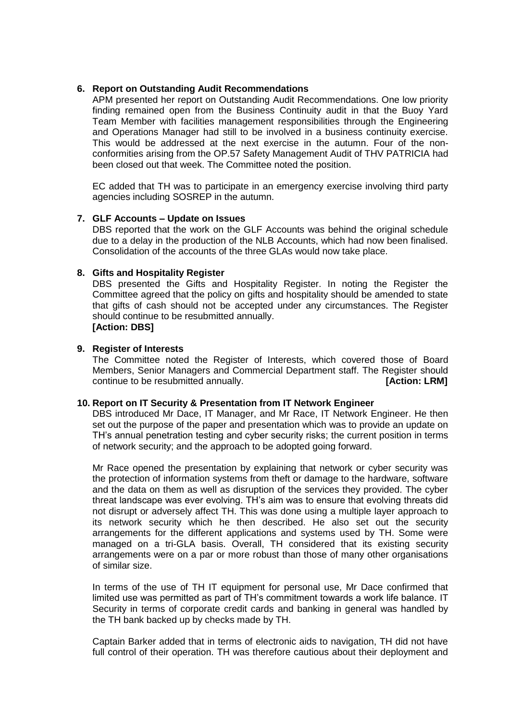# **6. Report on Outstanding Audit Recommendations**

APM presented her report on Outstanding Audit Recommendations. One low priority finding remained open from the Business Continuity audit in that the Buoy Yard Team Member with facilities management responsibilities through the Engineering and Operations Manager had still to be involved in a business continuity exercise. This would be addressed at the next exercise in the autumn. Four of the nonconformities arising from the OP.57 Safety Management Audit of THV PATRICIA had been closed out that week. The Committee noted the position.

EC added that TH was to participate in an emergency exercise involving third party agencies including SOSREP in the autumn.

# **7. GLF Accounts – Update on Issues**

DBS reported that the work on the GLF Accounts was behind the original schedule due to a delay in the production of the NLB Accounts, which had now been finalised. Consolidation of the accounts of the three GLAs would now take place.

# **8. Gifts and Hospitality Register**

DBS presented the Gifts and Hospitality Register. In noting the Register the Committee agreed that the policy on gifts and hospitality should be amended to state that gifts of cash should not be accepted under any circumstances. The Register should continue to be resubmitted annually. **[Action: DBS]**

# **9. Register of Interests**

The Committee noted the Register of Interests, which covered those of Board Members, Senior Managers and Commercial Department staff. The Register should continue to be resubmitted annually. *CONTENT* **EXECUTE:**  $\blacksquare$  **[Action: LRM]** 

### **10. Report on IT Security & Presentation from IT Network Engineer**

DBS introduced Mr Dace, IT Manager, and Mr Race, IT Network Engineer. He then set out the purpose of the paper and presentation which was to provide an update on TH's annual penetration testing and cyber security risks; the current position in terms of network security; and the approach to be adopted going forward.

Mr Race opened the presentation by explaining that network or cyber security was the protection of information systems from theft or damage to the hardware, software and the data on them as well as disruption of the services they provided. The cyber threat landscape was ever evolving. TH's aim was to ensure that evolving threats did not disrupt or adversely affect TH. This was done using a multiple layer approach to its network security which he then described. He also set out the security arrangements for the different applications and systems used by TH. Some were managed on a tri-GLA basis. Overall, TH considered that its existing security arrangements were on a par or more robust than those of many other organisations of similar size.

In terms of the use of TH IT equipment for personal use, Mr Dace confirmed that limited use was permitted as part of TH's commitment towards a work life balance. IT Security in terms of corporate credit cards and banking in general was handled by the TH bank backed up by checks made by TH.

Captain Barker added that in terms of electronic aids to navigation, TH did not have full control of their operation. TH was therefore cautious about their deployment and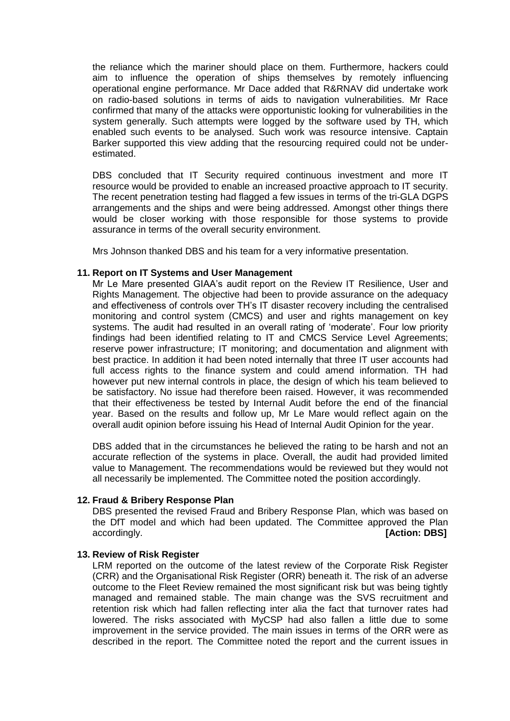the reliance which the mariner should place on them. Furthermore, hackers could aim to influence the operation of ships themselves by remotely influencing operational engine performance. Mr Dace added that R&RNAV did undertake work on radio-based solutions in terms of aids to navigation vulnerabilities. Mr Race confirmed that many of the attacks were opportunistic looking for vulnerabilities in the system generally. Such attempts were logged by the software used by TH, which enabled such events to be analysed. Such work was resource intensive. Captain Barker supported this view adding that the resourcing required could not be underestimated.

DBS concluded that IT Security required continuous investment and more IT resource would be provided to enable an increased proactive approach to IT security. The recent penetration testing had flagged a few issues in terms of the tri-GLA DGPS arrangements and the ships and were being addressed. Amongst other things there would be closer working with those responsible for those systems to provide assurance in terms of the overall security environment.

Mrs Johnson thanked DBS and his team for a very informative presentation.

### **11. Report on IT Systems and User Management**

Mr Le Mare presented GIAA's audit report on the Review IT Resilience, User and Rights Management. The objective had been to provide assurance on the adequacy and effectiveness of controls over TH's IT disaster recovery including the centralised monitoring and control system (CMCS) and user and rights management on key systems. The audit had resulted in an overall rating of 'moderate'. Four low priority findings had been identified relating to IT and CMCS Service Level Agreements; reserve power infrastructure; IT monitoring; and documentation and alignment with best practice. In addition it had been noted internally that three IT user accounts had full access rights to the finance system and could amend information. TH had however put new internal controls in place, the design of which his team believed to be satisfactory. No issue had therefore been raised. However, it was recommended that their effectiveness be tested by Internal Audit before the end of the financial year. Based on the results and follow up, Mr Le Mare would reflect again on the overall audit opinion before issuing his Head of Internal Audit Opinion for the year.

DBS added that in the circumstances he believed the rating to be harsh and not an accurate reflection of the systems in place. Overall, the audit had provided limited value to Management. The recommendations would be reviewed but they would not all necessarily be implemented. The Committee noted the position accordingly.

### **12. Fraud & Bribery Response Plan**

DBS presented the revised Fraud and Bribery Response Plan, which was based on the DfT model and which had been updated. The Committee approved the Plan accordingly. **[Action: DBS]**

### **13. Review of Risk Register**

LRM reported on the outcome of the latest review of the Corporate Risk Register (CRR) and the Organisational Risk Register (ORR) beneath it. The risk of an adverse outcome to the Fleet Review remained the most significant risk but was being tightly managed and remained stable. The main change was the SVS recruitment and retention risk which had fallen reflecting inter alia the fact that turnover rates had lowered. The risks associated with MyCSP had also fallen a little due to some improvement in the service provided. The main issues in terms of the ORR were as described in the report. The Committee noted the report and the current issues in